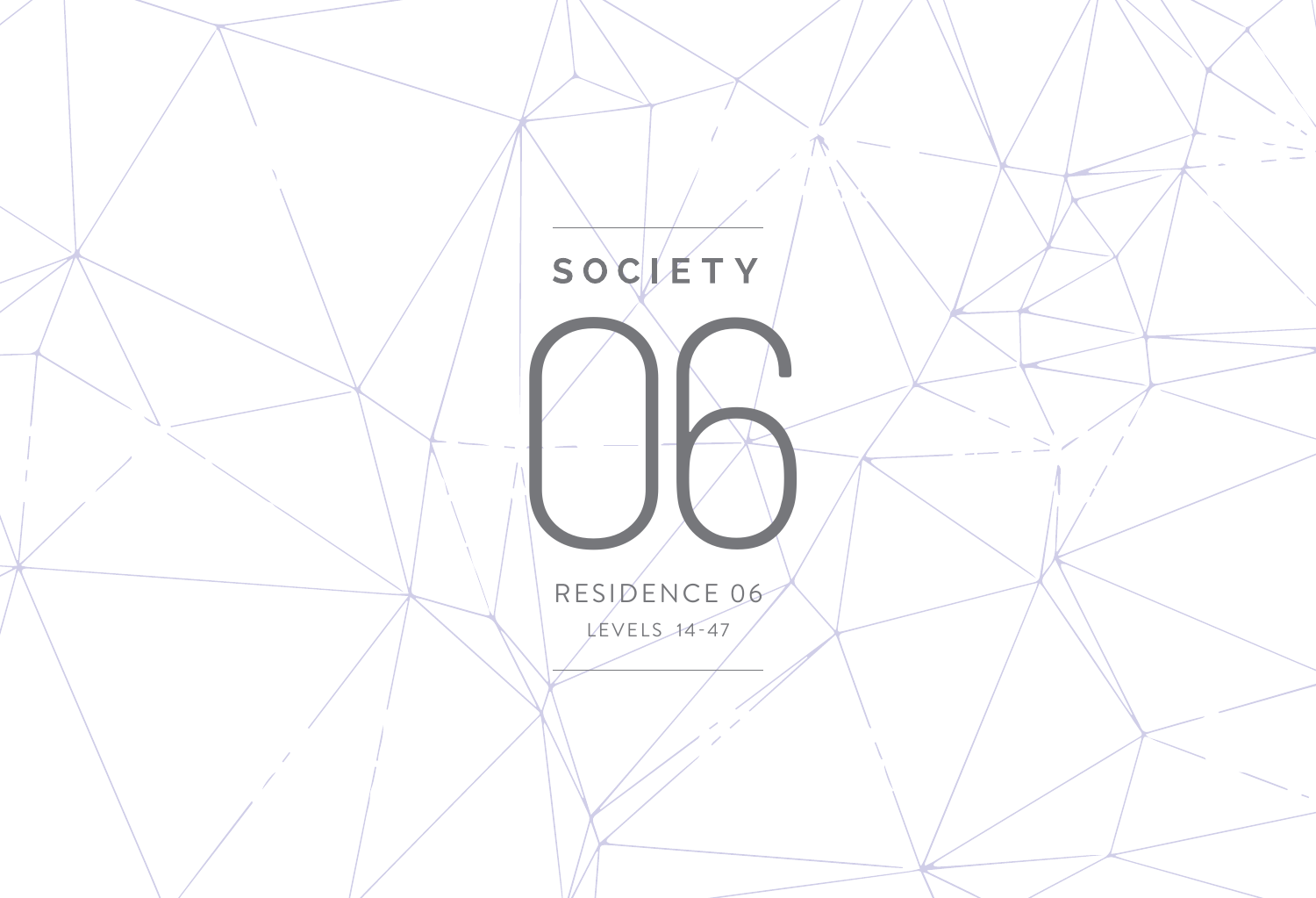